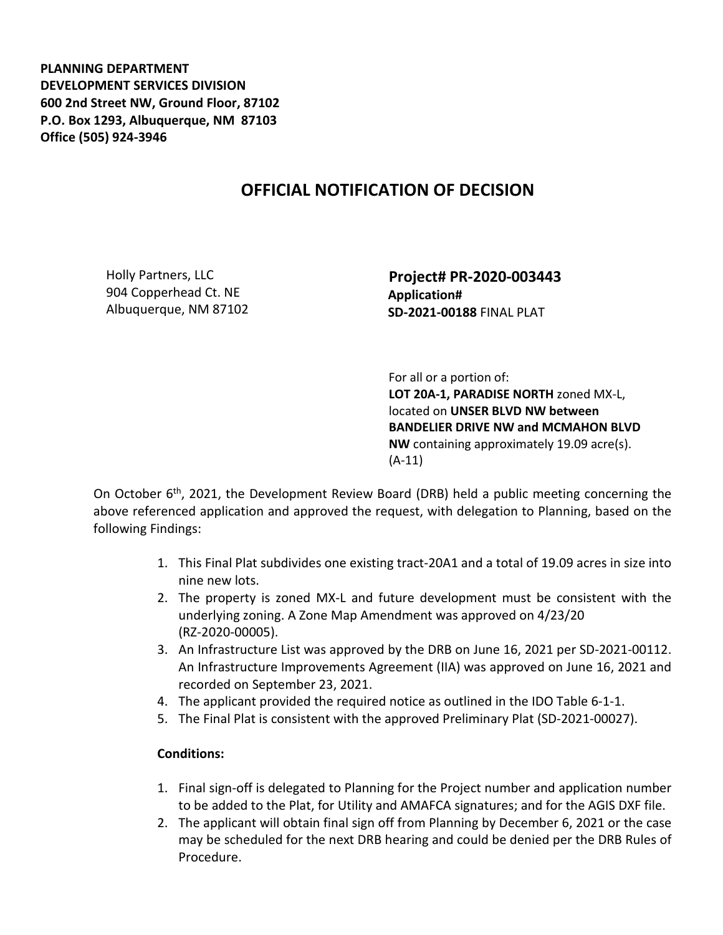**PLANNING DEPARTMENT DEVELOPMENT SERVICES DIVISION 600 2nd Street NW, Ground Floor, 87102 P.O. Box 1293, Albuquerque, NM 87103 Office (505) 924-3946** 

## **OFFICIAL NOTIFICATION OF DECISION**

Holly Partners, LLC 904 Copperhead Ct. NE Albuquerque, NM 87102  **Project# PR-2020-003443 Application# SD-2021-00188** FINAL PLAT

 For all or a portion of: **LOT 20A-1, PARADISE NORTH** zoned MX-L, located on **UNSER BLVD NW between BANDELIER DRIVE NW and MCMAHON BLVD NW** containing approximately 19.09 acre(s). (A-11)

On October  $6<sup>th</sup>$ , 2021, the Development Review Board (DRB) held a public meeting concerning the above referenced application and approved the request, with delegation to Planning, based on the following Findings:

- 1. This Final Plat subdivides one existing tract-20A1 and a total of 19.09 acres in size into nine new lots.
- 2. The property is zoned MX-L and future development must be consistent with the underlying zoning. A Zone Map Amendment was approved on 4/23/20 (RZ-2020-00005).
- 3. An Infrastructure List was approved by the DRB on June 16, 2021 per SD-2021-00112. An Infrastructure Improvements Agreement (IIA) was approved on June 16, 2021 and recorded on September 23, 2021.
- 4. The applicant provided the required notice as outlined in the IDO Table 6-1-1.
- 5. The Final Plat is consistent with the approved Preliminary Plat (SD-2021-00027).

## **Conditions:**

- 1. Final sign-off is delegated to Planning for the Project number and application number to be added to the Plat, for Utility and AMAFCA signatures; and for the AGIS DXF file.
- 2. The applicant will obtain final sign off from Planning by December 6, 2021 or the case may be scheduled for the next DRB hearing and could be denied per the DRB Rules of Procedure.